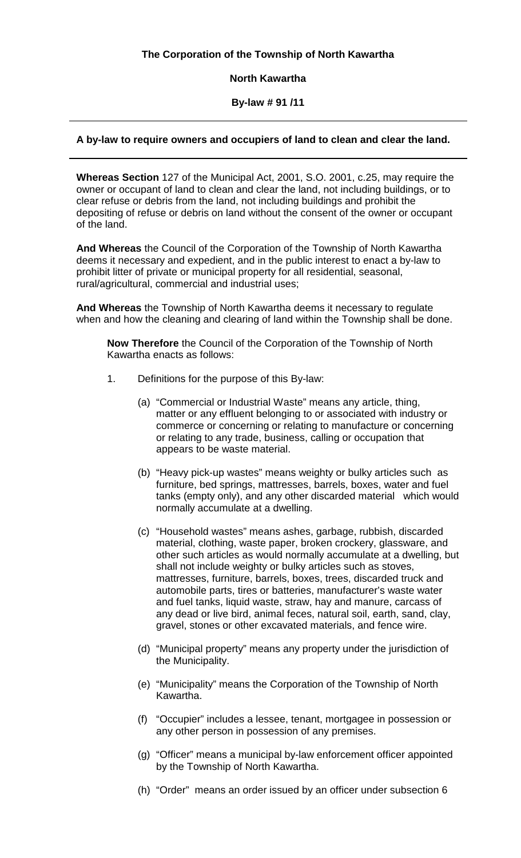## **The Corporation of the Township of North Kawartha**

#### **North Kawartha**

#### **By-law # 91 /11**

#### **A by-law to require owners and occupiers of land to clean and clear the land.**

**Whereas Section** 127 of the Municipal Act, 2001, S.O. 2001, c.25, may require the owner or occupant of land to clean and clear the land, not including buildings, or to clear refuse or debris from the land, not including buildings and prohibit the depositing of refuse or debris on land without the consent of the owner or occupant of the land.

**And Whereas** the Council of the Corporation of the Township of North Kawartha deems it necessary and expedient, and in the public interest to enact a by-law to prohibit litter of private or municipal property for all residential, seasonal, rural/agricultural, commercial and industrial uses;

**And Whereas** the Township of North Kawartha deems it necessary to regulate when and how the cleaning and clearing of land within the Township shall be done.

**Now Therefore** the Council of the Corporation of the Township of North Kawartha enacts as follows:

- 1. Definitions for the purpose of this By-law:
	- (a) "Commercial or Industrial Waste" means any article, thing, matter or any effluent belonging to or associated with industry or commerce or concerning or relating to manufacture or concerning or relating to any trade, business, calling or occupation that appears to be waste material.
	- (b) "Heavy pick-up wastes" means weighty or bulky articles such as furniture, bed springs, mattresses, barrels, boxes, water and fuel tanks (empty only), and any other discarded material which would normally accumulate at a dwelling.
	- (c) "Household wastes" means ashes, garbage, rubbish, discarded material, clothing, waste paper, broken crockery, glassware, and other such articles as would normally accumulate at a dwelling, but shall not include weighty or bulky articles such as stoves, mattresses, furniture, barrels, boxes, trees, discarded truck and automobile parts, tires or batteries, manufacturer's waste water and fuel tanks, liquid waste, straw, hay and manure, carcass of any dead or live bird, animal feces, natural soil, earth, sand, clay, gravel, stones or other excavated materials, and fence wire.
	- (d) "Municipal property" means any property under the jurisdiction of the Municipality.
	- (e) "Municipality" means the Corporation of the Township of North Kawartha.
	- (f) "Occupier" includes a lessee, tenant, mortgagee in possession or any other person in possession of any premises.
	- (g) "Officer" means a municipal by-law enforcement officer appointed by the Township of North Kawartha.
	- (h) "Order" means an order issued by an officer under subsection 6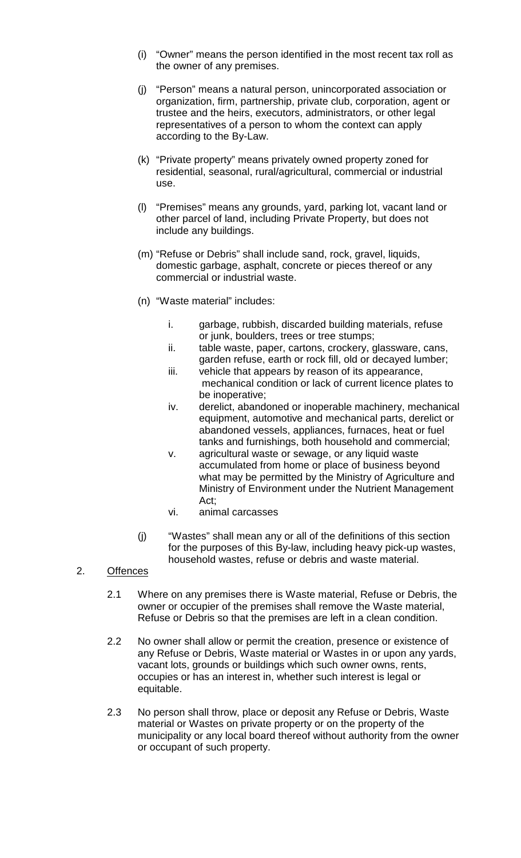- (i) "Owner" means the person identified in the most recent tax roll as the owner of any premises.
- (j) "Person" means a natural person, unincorporated association or organization, firm, partnership, private club, corporation, agent or trustee and the heirs, executors, administrators, or other legal representatives of a person to whom the context can apply according to the By-Law.
- (k) "Private property" means privately owned property zoned for residential, seasonal, rural/agricultural, commercial or industrial use.
- (l) "Premises" means any grounds, yard, parking lot, vacant land or other parcel of land, including Private Property, but does not include any buildings.
- (m) "Refuse or Debris" shall include sand, rock, gravel, liquids, domestic garbage, asphalt, concrete or pieces thereof or any commercial or industrial waste.
- (n) "Waste material" includes:
	- i. garbage, rubbish, discarded building materials, refuse or junk, boulders, trees or tree stumps;
	- ii. table waste, paper, cartons, crockery, glassware, cans, garden refuse, earth or rock fill, old or decayed lumber;
	- iii. vehicle that appears by reason of its appearance, mechanical condition or lack of current licence plates to be inoperative;
	- iv. derelict, abandoned or inoperable machinery, mechanical equipment, automotive and mechanical parts, derelict or abandoned vessels, appliances, furnaces, heat or fuel tanks and furnishings, both household and commercial;
	- v. agricultural waste or sewage, or any liquid waste accumulated from home or place of business beyond what may be permitted by the Ministry of Agriculture and Ministry of Environment under the Nutrient Management Act;
	- vi. animal carcasses
- (j) "Wastes" shall mean any or all of the definitions of this section for the purposes of this By-law, including heavy pick-up wastes, household wastes, refuse or debris and waste material.

## 2. Offences

- 2.1 Where on any premises there is Waste material, Refuse or Debris, the owner or occupier of the premises shall remove the Waste material, Refuse or Debris so that the premises are left in a clean condition.
- 2.2 No owner shall allow or permit the creation, presence or existence of any Refuse or Debris, Waste material or Wastes in or upon any yards, vacant lots, grounds or buildings which such owner owns, rents, occupies or has an interest in, whether such interest is legal or equitable.
- 2.3 No person shall throw, place or deposit any Refuse or Debris, Waste material or Wastes on private property or on the property of the municipality or any local board thereof without authority from the owner or occupant of such property.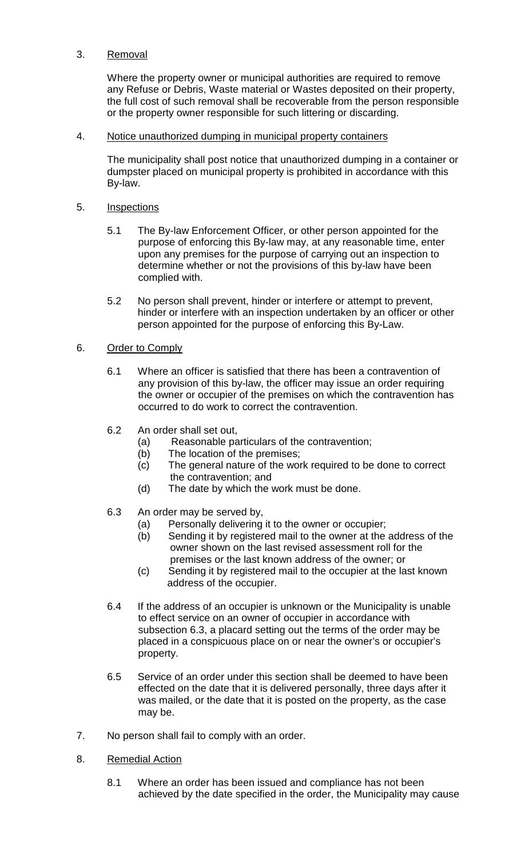# 3. Removal

Where the property owner or municipal authorities are required to remove any Refuse or Debris, Waste material or Wastes deposited on their property, the full cost of such removal shall be recoverable from the person responsible or the property owner responsible for such littering or discarding.

## 4. Notice unauthorized dumping in municipal property containers

The municipality shall post notice that unauthorized dumping in a container or dumpster placed on municipal property is prohibited in accordance with this By-law.

#### 5. Inspections

- 5.1 The By-law Enforcement Officer, or other person appointed for the purpose of enforcing this By-law may, at any reasonable time, enter upon any premises for the purpose of carrying out an inspection to determine whether or not the provisions of this by-law have been complied with.
- 5.2 No person shall prevent, hinder or interfere or attempt to prevent, hinder or interfere with an inspection undertaken by an officer or other person appointed for the purpose of enforcing this By-Law.

## 6. Order to Comply

- 6.1 Where an officer is satisfied that there has been a contravention of any provision of this by-law, the officer may issue an order requiring the owner or occupier of the premises on which the contravention has occurred to do work to correct the contravention.
- 6.2 An order shall set out,
	- (a) Reasonable particulars of the contravention;
	- (b) The location of the premises;
	- (c) The general nature of the work required to be done to correct the contravention; and
	- (d) The date by which the work must be done.
- 6.3 An order may be served by,
	- (a) Personally delivering it to the owner or occupier;
	- (b) Sending it by registered mail to the owner at the address of the owner shown on the last revised assessment roll for the premises or the last known address of the owner; or
	- (c) Sending it by registered mail to the occupier at the last known address of the occupier.
- 6.4 If the address of an occupier is unknown or the Municipality is unable to effect service on an owner of occupier in accordance with subsection 6.3, a placard setting out the terms of the order may be placed in a conspicuous place on or near the owner's or occupier's property.
- 6.5 Service of an order under this section shall be deemed to have been effected on the date that it is delivered personally, three days after it was mailed, or the date that it is posted on the property, as the case may be.
- 7. No person shall fail to comply with an order.
- 8. Remedial Action
	- 8.1 Where an order has been issued and compliance has not been achieved by the date specified in the order, the Municipality may cause